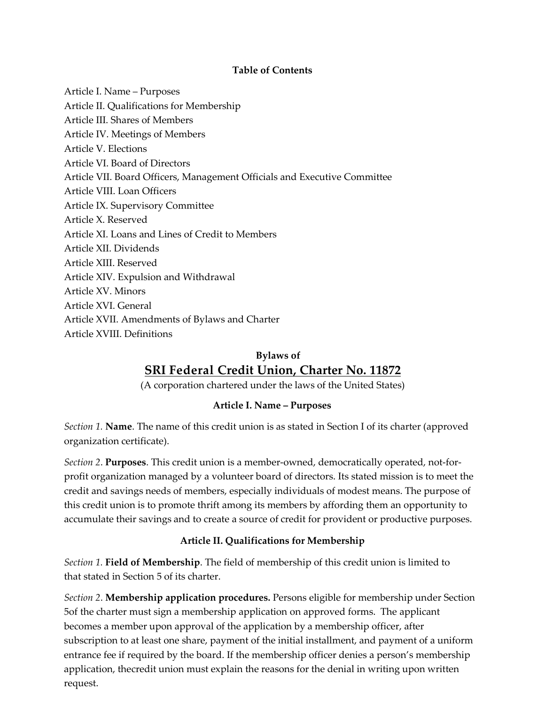#### **Table of Contents**

Article I. Name – Purposes Article II. Qualifications for Membership Article III. Shares of Members Article IV. Meetings of Members Article V. Elections Article VI. Board of Directors Article VII. Board Officers, Management Officials and Executive Committee Article VIII. Loan Officers Article IX. Supervisory Committee Article X. Reserved Article XI. Loans and Lines of Credit to Members Article XII. Dividends Article XIII. Reserved Article XIV. Expulsion and Withdrawal Article XV. Minors Article XVI. General Article XVII. Amendments of Bylaws and Charter Article XVIII. Definitions

# **Bylaws of**

# **SRI Federal Credit Union, Charter No. 11872**

(A corporation chartered under the laws of the United States)

#### **Article I. Name – Purposes**

*Section 1.* **Name**. The name of this credit union is as stated in Section I of its charter (approved organization certificate).

*Section 2*. **Purposes**. This credit union is a member-owned, democratically operated, not-forprofit organization managed by a volunteer board of directors. Its stated mission is to meet the credit and savings needs of members, especially individuals of modest means. The purpose of this credit union is to promote thrift among its members by affording them an opportunity to accumulate their savings and to create a source of credit for provident or productive purposes.

# **Article II. Qualifications for Membership**

*Section 1.* **Field of Membership**. The field of membership of this credit union is limited to that stated in Section 5 of its charter.

*Section 2*. **Membership application procedures.** Persons eligible for membership under Section 5of the charter must sign a membership application on approved forms. The applicant becomes a member upon approval of the application by a membership officer, after subscription to at least one share, payment of the initial installment, and payment of a uniform entrance fee if required by the board. If the membership officer denies a person's membership application, thecredit union must explain the reasons for the denial in writing upon written request.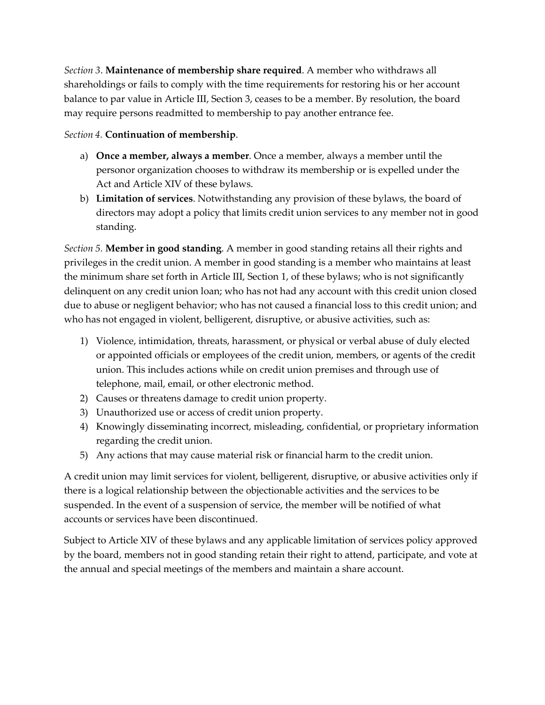*Section 3*. **Maintenance of membership share required**. A member who withdraws all shareholdings or fails to comply with the time requirements for restoring his or her account balance to par value in Article III, Section 3, ceases to be a member. By resolution, the board may require persons readmitted to membership to pay another entrance fee.

#### *Section 4.* **Continuation of membership**.

- a) **Once a member, always a member**. Once a member, always a member until the personor organization chooses to withdraw its membership or is expelled under the Act and Article XIV of these bylaws.
- b) **Limitation of services**. Notwithstanding any provision of these bylaws, the board of directors may adopt a policy that limits credit union services to any member not in good standing.

*Section 5.* **Member in good standing**. A member in good standing retains all their rights and privileges in the credit union. A member in good standing is a member who maintains at least the minimum share set forth in Article III, Section 1, of these bylaws; who is not significantly delinquent on any credit union loan; who has not had any account with this credit union closed due to abuse or negligent behavior; who has not caused a financial loss to this credit union; and who has not engaged in violent, belligerent, disruptive, or abusive activities, such as:

- 1) Violence, intimidation, threats, harassment, or physical or verbal abuse of duly elected or appointed officials or employees of the credit union, members, or agents of the credit union. This includes actions while on credit union premises and through use of telephone, mail, email, or other electronic method.
- 2) Causes or threatens damage to credit union property.
- 3) Unauthorized use or access of credit union property.
- 4) Knowingly disseminating incorrect, misleading, confidential, or proprietary information regarding the credit union.
- 5) Any actions that may cause material risk or financial harm to the credit union.

A credit union may limit services for violent, belligerent, disruptive, or abusive activities only if there is a logical relationship between the objectionable activities and the services to be suspended. In the event of a suspension of service, the member will be notified of what accounts or services have been discontinued.

Subject to Article XIV of these bylaws and any applicable limitation of services policy approved by the board, members not in good standing retain their right to attend, participate, and vote at the annual and special meetings of the members and maintain a share account.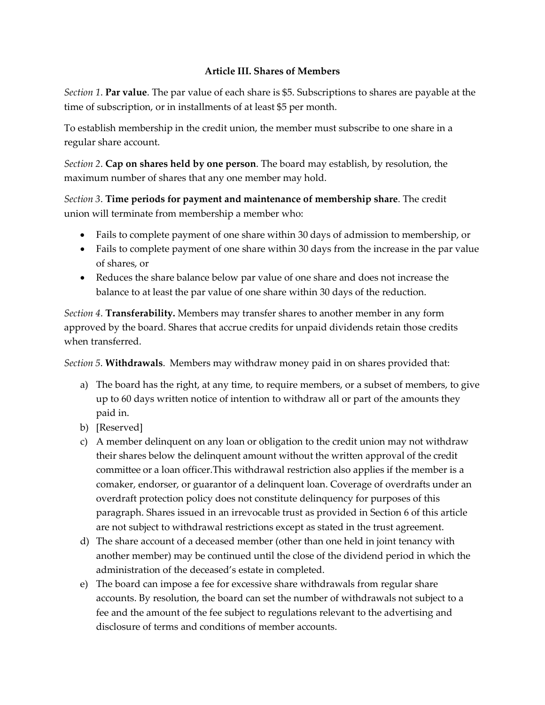#### **Article III. Shares of Members**

*Section 1*. **Par value**. The par value of each share is \$5. Subscriptions to shares are payable at the time of subscription, or in installments of at least \$5 per month.

To establish membership in the credit union, the member must subscribe to one share in a regular share account.

*Section 2*. **Cap on shares held by one person**. The board may establish, by resolution, the maximum number of shares that any one member may hold.

*Section 3*. **Time periods for payment and maintenance of membership share**. The credit union will terminate from membership a member who:

- Fails to complete payment of one share within 30 days of admission to membership, or
- Fails to complete payment of one share within 30 days from the increase in the par value of shares, or
- Reduces the share balance below par value of one share and does not increase the balance to at least the par value of one share within 30 days of the reduction.

*Section 4*. **Transferability.** Members may transfer shares to another member in any form approved by the board. Shares that accrue credits for unpaid dividends retain those credits when transferred.

*Section 5*. **Withdrawals**. Members may withdraw money paid in on shares provided that:

- a) The board has the right, at any time, to require members, or a subset of members, to give up to 60 days written notice of intention to withdraw all or part of the amounts they paid in.
- b) [Reserved]
- c) A member delinquent on any loan or obligation to the credit union may not withdraw their shares below the delinquent amount without the written approval of the credit committee or a loan officer.This withdrawal restriction also applies if the member is a comaker, endorser, or guarantor of a delinquent loan. Coverage of overdrafts under an overdraft protection policy does not constitute delinquency for purposes of this paragraph. Shares issued in an irrevocable trust as provided in Section 6 of this article are not subject to withdrawal restrictions except as stated in the trust agreement.
- d) The share account of a deceased member (other than one held in joint tenancy with another member) may be continued until the close of the dividend period in which the administration of the deceased's estate in completed.
- e) The board can impose a fee for excessive share withdrawals from regular share accounts. By resolution, the board can set the number of withdrawals not subject to a fee and the amount of the fee subject to regulations relevant to the advertising and disclosure of terms and conditions of member accounts.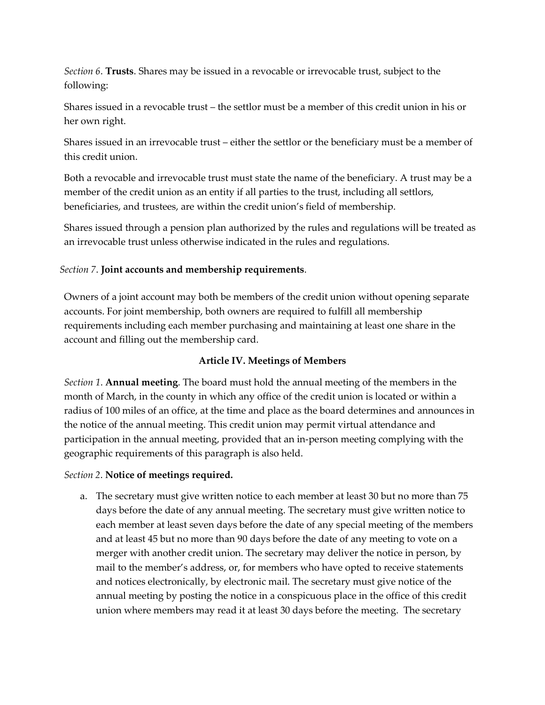*Section 6*. **Trusts**. Shares may be issued in a revocable or irrevocable trust, subject to the following:

Shares issued in a revocable trust – the settlor must be a member of this credit union in his or her own right.

Shares issued in an irrevocable trust – either the settlor or the beneficiary must be a member of this credit union.

Both a revocable and irrevocable trust must state the name of the beneficiary. A trust may be a member of the credit union as an entity if all parties to the trust, including all settlors, beneficiaries, and trustees, are within the credit union's field of membership.

Shares issued through a pension plan authorized by the rules and regulations will be treated as an irrevocable trust unless otherwise indicated in the rules and regulations.

#### *Section 7*. **Joint accounts and membership requirements**.

Owners of a joint account may both be members of the credit union without opening separate accounts. For joint membership, both owners are required to fulfill all membership requirements including each member purchasing and maintaining at least one share in the account and filling out the membership card.

#### **Article IV. Meetings of Members**

*Section 1*. **Annual meeting**. The board must hold the annual meeting of the members in the month of March, in the county in which any office of the credit union is located or within a radius of 100 miles of an office, at the time and place as the board determines and announces in the notice of the annual meeting. This credit union may permit virtual attendance and participation in the annual meeting, provided that an in-person meeting complying with the geographic requirements of this paragraph is also held.

#### *Section 2*. **Notice of meetings required.**

a. The secretary must give written notice to each member at least 30 but no more than 75 days before the date of any annual meeting. The secretary must give written notice to each member at least seven days before the date of any special meeting of the members and at least 45 but no more than 90 days before the date of any meeting to vote on a merger with another credit union. The secretary may deliver the notice in person, by mail to the member's address, or, for members who have opted to receive statements and notices electronically, by electronic mail. The secretary must give notice of the annual meeting by posting the notice in a conspicuous place in the office of this credit union where members may read it at least 30 days before the meeting. The secretary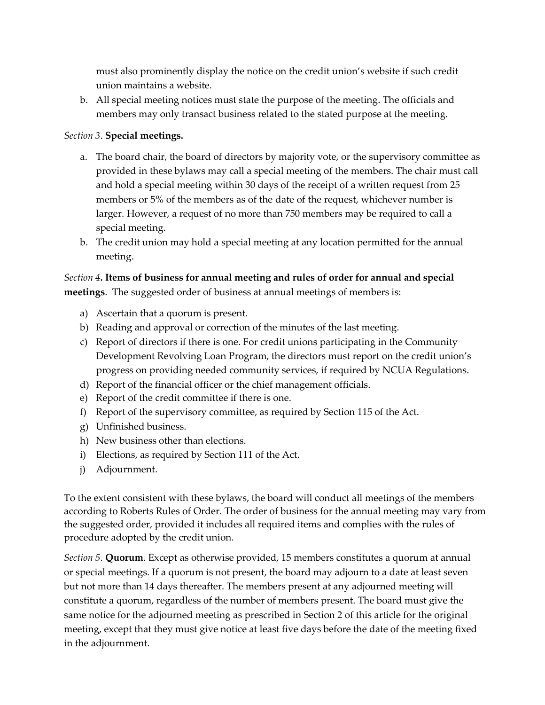must also prominently display the notice on the credit union's website if such credit union maintains a website.

b. All special meeting notices must state the purpose of the meeting. The officials and members may only transact business related to the stated purpose at the meeting.

#### *Section 3*. **Special meetings.**

- a. The board chair, the board of directors by majority vote, or the supervisory committee as provided in these bylaws may call a special meeting of the members. The chair must call and hold a special meeting within 30 days of the receipt of a written request from 25 members or 5% of the members as of the date of the request, whichever number is larger. However, a request of no more than 750 members may be required to call a special meeting.
- b. The credit union may hold a special meeting at any location permitted for the annual meeting.

#### *Section 4***. Items of business for annual meeting and rules of order for annual and special meetings**. The suggested order of business at annual meetings of members is:

- a) Ascertain that a quorum is present.
- b) Reading and approval or correction of the minutes of the last meeting.
- c) Report of directors if there is one. For credit unions participating in the Community Development Revolving Loan Program, the directors must report on the credit union's progress on providing needed community services, if required by NCUA Regulations.
- d) Report of the financial officer or the chief management officials.
- e) Report of the credit committee if there is one.
- f) Report of the supervisory committee, as required by Section 115 of the Act.
- g) Unfinished business.
- h) New business other than elections.
- i) Elections, as required by Section 111 of the Act.
- j) Adjournment.

To the extent consistent with these bylaws, the board will conduct all meetings of the members according to Roberts Rules of Order. The order of business for the annual meeting may vary from the suggested order, provided it includes all required items and complies with the rules of procedure adopted by the credit union.

*Section 5*. **Quorum**. Except as otherwise provided, 15 members constitutes a quorum at annual or special meetings. If a quorum is not present, the board may adjourn to a date at least seven but not more than 14 days thereafter. The members present at any adjourned meeting will constitute a quorum, regardless of the number of members present. The board must give the same notice for the adjourned meeting as prescribed in Section 2 of this article for the original meeting, except that they must give notice at least five days before the date of the meeting fixed in the adjournment.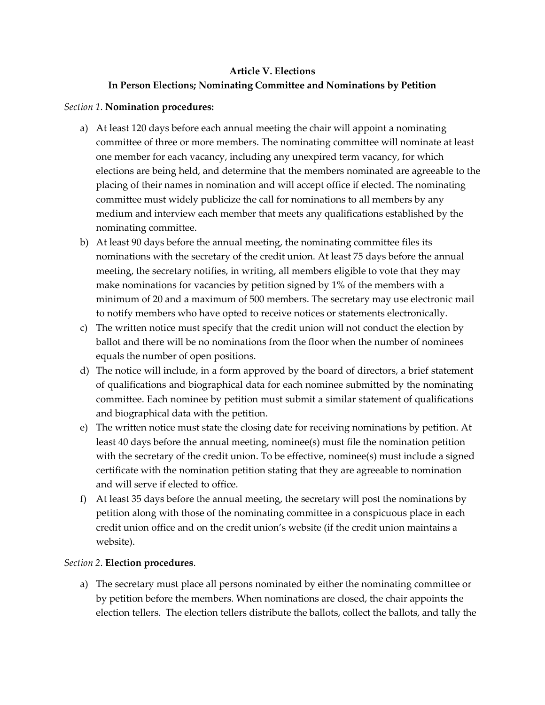## **Article V. Elections**

## **In Person Elections; Nominating Committee and Nominations by Petition**

#### *Section 1*. **Nomination procedures:**

- a) At least 120 days before each annual meeting the chair will appoint a nominating committee of three or more members. The nominating committee will nominate at least one member for each vacancy, including any unexpired term vacancy, for which elections are being held, and determine that the members nominated are agreeable to the placing of their names in nomination and will accept office if elected. The nominating committee must widely publicize the call for nominations to all members by any medium and interview each member that meets any qualifications established by the nominating committee.
- b) At least 90 days before the annual meeting, the nominating committee files its nominations with the secretary of the credit union. At least 75 days before the annual meeting, the secretary notifies, in writing, all members eligible to vote that they may make nominations for vacancies by petition signed by 1% of the members with a minimum of 20 and a maximum of 500 members. The secretary may use electronic mail to notify members who have opted to receive notices or statements electronically.
- c) The written notice must specify that the credit union will not conduct the election by ballot and there will be no nominations from the floor when the number of nominees equals the number of open positions.
- d) The notice will include, in a form approved by the board of directors, a brief statement of qualifications and biographical data for each nominee submitted by the nominating committee. Each nominee by petition must submit a similar statement of qualifications and biographical data with the petition.
- e) The written notice must state the closing date for receiving nominations by petition. At least 40 days before the annual meeting, nominee(s) must file the nomination petition with the secretary of the credit union. To be effective, nominee(s) must include a signed certificate with the nomination petition stating that they are agreeable to nomination and will serve if elected to office.
- f) At least 35 days before the annual meeting, the secretary will post the nominations by petition along with those of the nominating committee in a conspicuous place in each credit union office and on the credit union's website (if the credit union maintains a website).

#### *Section 2*. **Election procedures**.

a) The secretary must place all persons nominated by either the nominating committee or by petition before the members. When nominations are closed, the chair appoints the election tellers. The election tellers distribute the ballots, collect the ballots, and tally the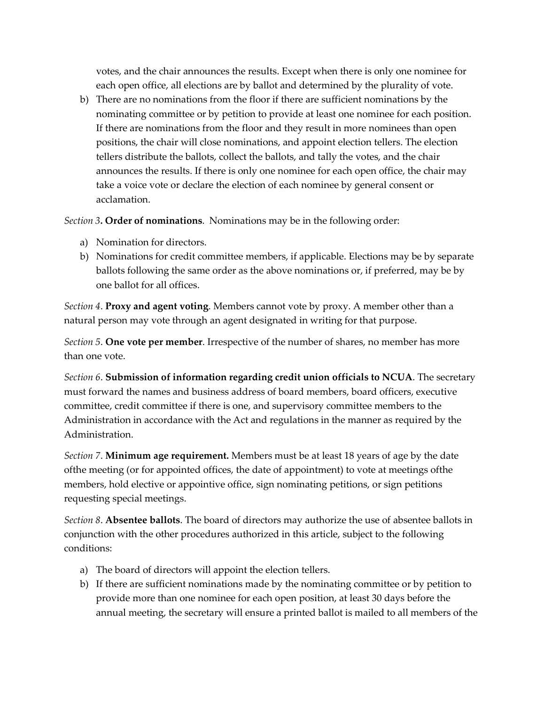votes, and the chair announces the results. Except when there is only one nominee for each open office, all elections are by ballot and determined by the plurality of vote.

b) There are no nominations from the floor if there are sufficient nominations by the nominating committee or by petition to provide at least one nominee for each position. If there are nominations from the floor and they result in more nominees than open positions, the chair will close nominations, and appoint election tellers. The election tellers distribute the ballots, collect the ballots, and tally the votes, and the chair announces the results. If there is only one nominee for each open office, the chair may take a voice vote or declare the election of each nominee by general consent or acclamation.

*Section 3***. Order of nominations**. Nominations may be in the following order:

- a) Nomination for directors.
- b) Nominations for credit committee members, if applicable. Elections may be by separate ballots following the same order as the above nominations or, if preferred, may be by one ballot for all offices.

*Section 4*. **Proxy and agent voting**. Members cannot vote by proxy. A member other than a natural person may vote through an agent designated in writing for that purpose.

*Section 5*. **One vote per member**. Irrespective of the number of shares, no member has more than one vote.

*Section 6*. **Submission of information regarding credit union officials to NCUA**. The secretary must forward the names and business address of board members, board officers, executive committee, credit committee if there is one, and supervisory committee members to the Administration in accordance with the Act and regulations in the manner as required by the Administration.

*Section 7*. **Minimum age requirement.** Members must be at least 18 years of age by the date ofthe meeting (or for appointed offices, the date of appointment) to vote at meetings ofthe members, hold elective or appointive office, sign nominating petitions, or sign petitions requesting special meetings.

*Section 8*. **Absentee ballots**. The board of directors may authorize the use of absentee ballots in conjunction with the other procedures authorized in this article, subject to the following conditions:

- a) The board of directors will appoint the election tellers.
- b) If there are sufficient nominations made by the nominating committee or by petition to provide more than one nominee for each open position, at least 30 days before the annual meeting, the secretary will ensure a printed ballot is mailed to all members of the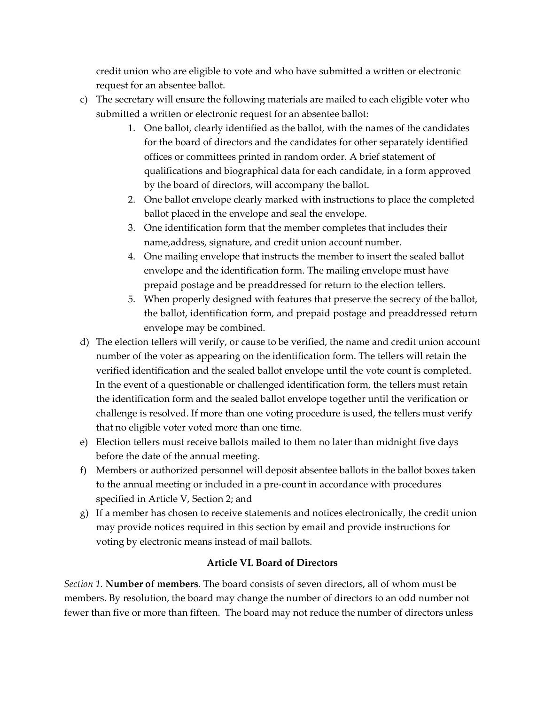credit union who are eligible to vote and who have submitted a written or electronic request for an absentee ballot.

- c) The secretary will ensure the following materials are mailed to each eligible voter who submitted a written or electronic request for an absentee ballot:
	- 1. One ballot, clearly identified as the ballot, with the names of the candidates for the board of directors and the candidates for other separately identified offices or committees printed in random order. A brief statement of qualifications and biographical data for each candidate, in a form approved by the board of directors, will accompany the ballot.
	- 2. One ballot envelope clearly marked with instructions to place the completed ballot placed in the envelope and seal the envelope.
	- 3. One identification form that the member completes that includes their name,address, signature, and credit union account number.
	- 4. One mailing envelope that instructs the member to insert the sealed ballot envelope and the identification form. The mailing envelope must have prepaid postage and be preaddressed for return to the election tellers.
	- 5. When properly designed with features that preserve the secrecy of the ballot, the ballot, identification form, and prepaid postage and preaddressed return envelope may be combined.
- d) The election tellers will verify, or cause to be verified, the name and credit union account number of the voter as appearing on the identification form. The tellers will retain the verified identification and the sealed ballot envelope until the vote count is completed. In the event of a questionable or challenged identification form, the tellers must retain the identification form and the sealed ballot envelope together until the verification or challenge is resolved. If more than one voting procedure is used, the tellers must verify that no eligible voter voted more than one time.
- e) Election tellers must receive ballots mailed to them no later than midnight five days before the date of the annual meeting.
- f) Members or authorized personnel will deposit absentee ballots in the ballot boxes taken to the annual meeting or included in a pre-count in accordance with procedures specified in Article V, Section 2; and
- g) If a member has chosen to receive statements and notices electronically, the credit union may provide notices required in this section by email and provide instructions for voting by electronic means instead of mail ballots.

# **Article VI. Board of Directors**

*Section 1.* **Number of members**. The board consists of seven directors, all of whom must be members. By resolution, the board may change the number of directors to an odd number not fewer than five or more than fifteen. The board may not reduce the number of directors unless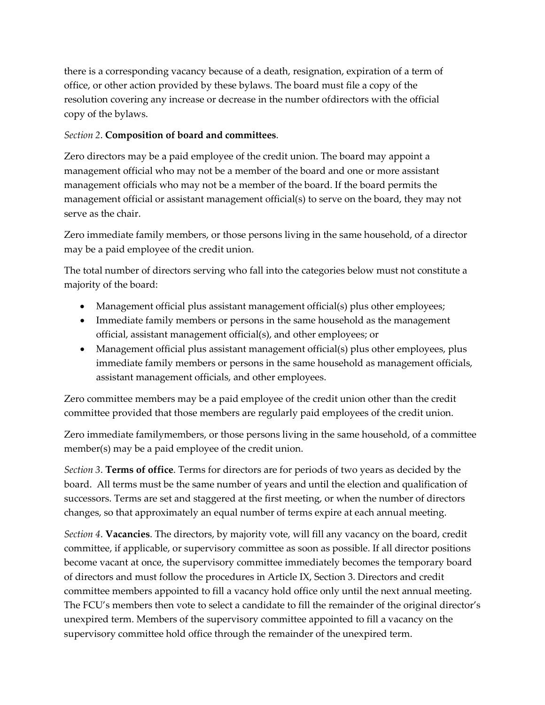there is a corresponding vacancy because of a death, resignation, expiration of a term of office, or other action provided by these bylaws. The board must file a copy of the resolution covering any increase or decrease in the number ofdirectors with the official copy of the bylaws.

#### *Section 2*. **Composition of board and committees**.

Zero directors may be a paid employee of the credit union. The board may appoint a management official who may not be a member of the board and one or more assistant management officials who may not be a member of the board. If the board permits the management official or assistant management official(s) to serve on the board, they may not serve as the chair.

Zero immediate family members, or those persons living in the same household, of a director may be a paid employee of the credit union.

The total number of directors serving who fall into the categories below must not constitute a majority of the board:

- Management official plus assistant management official(s) plus other employees;
- Immediate family members or persons in the same household as the management official, assistant management official(s), and other employees; or
- Management official plus assistant management official(s) plus other employees, plus immediate family members or persons in the same household as management officials, assistant management officials, and other employees.

Zero committee members may be a paid employee of the credit union other than the credit committee provided that those members are regularly paid employees of the credit union.

Zero immediate familymembers, or those persons living in the same household, of a committee member(s) may be a paid employee of the credit union.

*Section 3*. **Terms of office**. Terms for directors are for periods of two years as decided by the board. All terms must be the same number of years and until the election and qualification of successors. Terms are set and staggered at the first meeting, or when the number of directors changes, so that approximately an equal number of terms expire at each annual meeting.

*Section 4*. **Vacancies**. The directors, by majority vote, will fill any vacancy on the board, credit committee, if applicable, or supervisory committee as soon as possible. If all director positions become vacant at once, the supervisory committee immediately becomes the temporary board of directors and must follow the procedures in Article IX, Section 3. Directors and credit committee members appointed to fill a vacancy hold office only until the next annual meeting. The FCU's members then vote to select a candidate to fill the remainder of the original director's unexpired term. Members of the supervisory committee appointed to fill a vacancy on the supervisory committee hold office through the remainder of the unexpired term.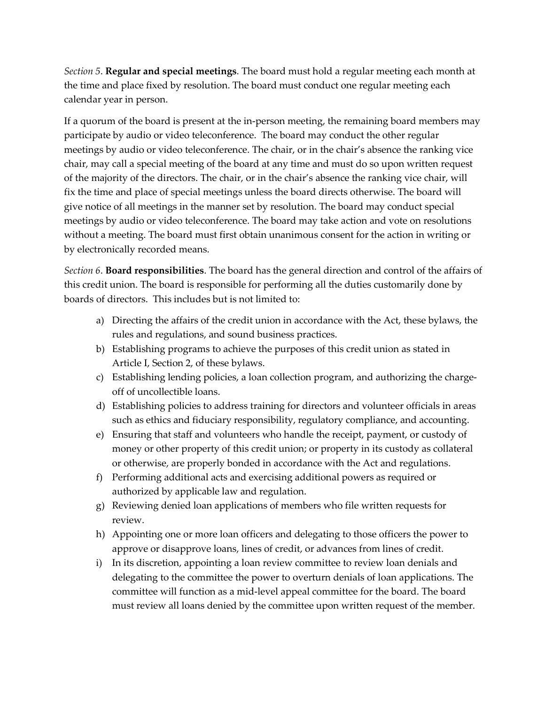*Section 5*. **Regular and special meetings**. The board must hold a regular meeting each month at the time and place fixed by resolution. The board must conduct one regular meeting each calendar year in person.

If a quorum of the board is present at the in-person meeting, the remaining board members may participate by audio or video teleconference. The board may conduct the other regular meetings by audio or video teleconference. The chair, or in the chair's absence the ranking vice chair, may call a special meeting of the board at any time and must do so upon written request of the majority of the directors. The chair, or in the chair's absence the ranking vice chair, will fix the time and place of special meetings unless the board directs otherwise. The board will give notice of all meetings in the manner set by resolution. The board may conduct special meetings by audio or video teleconference. The board may take action and vote on resolutions without a meeting. The board must first obtain unanimous consent for the action in writing or by electronically recorded means.

*Section 6*. **Board responsibilities**. The board has the general direction and control of the affairs of this credit union. The board is responsible for performing all the duties customarily done by boards of directors. This includes but is not limited to:

- a) Directing the affairs of the credit union in accordance with the Act, these bylaws, the rules and regulations, and sound business practices.
- b) Establishing programs to achieve the purposes of this credit union as stated in Article I, Section 2, of these bylaws.
- c) Establishing lending policies, a loan collection program, and authorizing the chargeoff of uncollectible loans.
- d) Establishing policies to address training for directors and volunteer officials in areas such as ethics and fiduciary responsibility, regulatory compliance, and accounting.
- e) Ensuring that staff and volunteers who handle the receipt, payment, or custody of money or other property of this credit union; or property in its custody as collateral or otherwise, are properly bonded in accordance with the Act and regulations.
- f) Performing additional acts and exercising additional powers as required or authorized by applicable law and regulation.
- g) Reviewing denied loan applications of members who file written requests for review.
- h) Appointing one or more loan officers and delegating to those officers the power to approve or disapprove loans, lines of credit, or advances from lines of credit.
- i) In its discretion, appointing a loan review committee to review loan denials and delegating to the committee the power to overturn denials of loan applications. The committee will function as a mid-level appeal committee for the board. The board must review all loans denied by the committee upon written request of the member.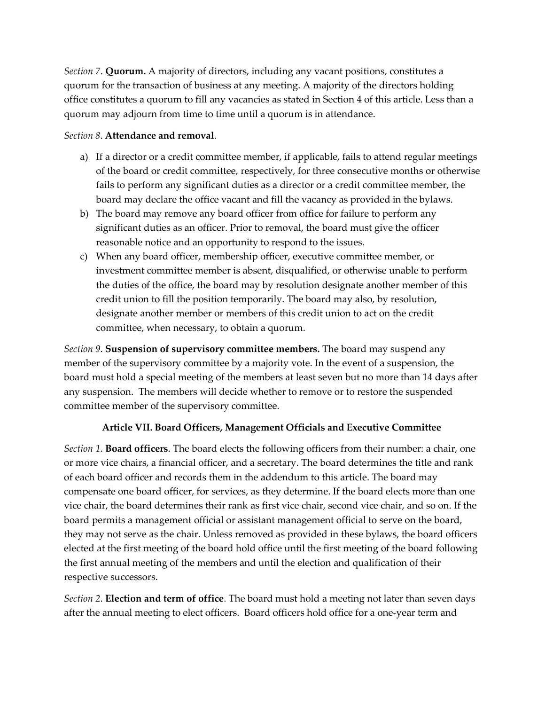*Section 7*. **Quorum.** A majority of directors, including any vacant positions, constitutes a quorum for the transaction of business at any meeting. A majority of the directors holding office constitutes a quorum to fill any vacancies as stated in Section 4 of this article. Less than a quorum may adjourn from time to time until a quorum is in attendance.

#### *Section 8*. **Attendance and removal**.

- a) If a director or a credit committee member, if applicable, fails to attend regular meetings of the board or credit committee, respectively, for three consecutive months or otherwise fails to perform any significant duties as a director or a credit committee member, the board may declare the office vacant and fill the vacancy as provided in the bylaws.
- b) The board may remove any board officer from office for failure to perform any significant duties as an officer. Prior to removal, the board must give the officer reasonable notice and an opportunity to respond to the issues.
- c) When any board officer, membership officer, executive committee member, or investment committee member is absent, disqualified, or otherwise unable to perform the duties of the office, the board may by resolution designate another member of this credit union to fill the position temporarily. The board may also, by resolution, designate another member or members of this credit union to act on the credit committee, when necessary, to obtain a quorum.

*Section 9*. **Suspension of supervisory committee members.** The board may suspend any member of the supervisory committee by a majority vote. In the event of a suspension, the board must hold a special meeting of the members at least seven but no more than 14 days after any suspension. The members will decide whether to remove or to restore the suspended committee member of the supervisory committee.

#### **Article VII. Board Officers, Management Officials and Executive Committee**

*Section 1*. **Board officers**. The board elects the following officers from their number: a chair, one or more vice chairs, a financial officer, and a secretary. The board determines the title and rank of each board officer and records them in the addendum to this article. The board may compensate one board officer, for services, as they determine. If the board elects more than one vice chair, the board determines their rank as first vice chair, second vice chair, and so on. If the board permits a management official or assistant management official to serve on the board, they may not serve as the chair. Unless removed as provided in these bylaws, the board officers elected at the first meeting of the board hold office until the first meeting of the board following the first annual meeting of the members and until the election and qualification of their respective successors.

*Section 2*. **Election and term of office**. The board must hold a meeting not later than seven days after the annual meeting to elect officers. Board officers hold office for a one-year term and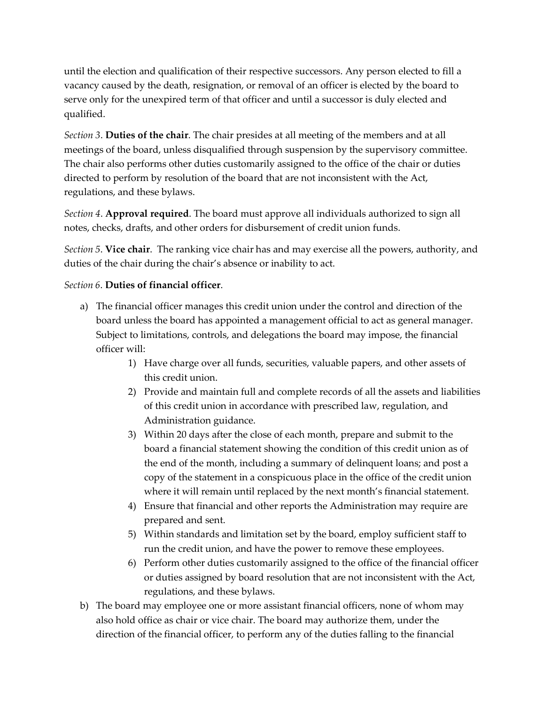until the election and qualification of their respective successors. Any person elected to fill a vacancy caused by the death, resignation, or removal of an officer is elected by the board to serve only for the unexpired term of that officer and until a successor is duly elected and qualified.

*Section 3*. **Duties of the chair**. The chair presides at all meeting of the members and at all meetings of the board, unless disqualified through suspension by the supervisory committee. The chair also performs other duties customarily assigned to the office of the chair or duties directed to perform by resolution of the board that are not inconsistent with the Act, regulations, and these bylaws.

*Section 4*. **Approval required**. The board must approve all individuals authorized to sign all notes, checks, drafts, and other orders for disbursement of credit union funds.

*Section 5*. **Vice chair**. The ranking vice chair has and may exercise all the powers, authority, and duties of the chair during the chair's absence or inability to act.

#### *Section 6*. **Duties of financial officer**.

- a) The financial officer manages this credit union under the control and direction of the board unless the board has appointed a management official to act as general manager. Subject to limitations, controls, and delegations the board may impose, the financial officer will:
	- 1) Have charge over all funds, securities, valuable papers, and other assets of this credit union.
	- 2) Provide and maintain full and complete records of all the assets and liabilities of this credit union in accordance with prescribed law, regulation, and Administration guidance.
	- 3) Within 20 days after the close of each month, prepare and submit to the board a financial statement showing the condition of this credit union as of the end of the month, including a summary of delinquent loans; and post a copy of the statement in a conspicuous place in the office of the credit union where it will remain until replaced by the next month's financial statement.
	- 4) Ensure that financial and other reports the Administration may require are prepared and sent.
	- 5) Within standards and limitation set by the board, employ sufficient staff to run the credit union, and have the power to remove these employees.
	- 6) Perform other duties customarily assigned to the office of the financial officer or duties assigned by board resolution that are not inconsistent with the Act, regulations, and these bylaws.
- b) The board may employee one or more assistant financial officers, none of whom may also hold office as chair or vice chair. The board may authorize them, under the direction of the financial officer, to perform any of the duties falling to the financial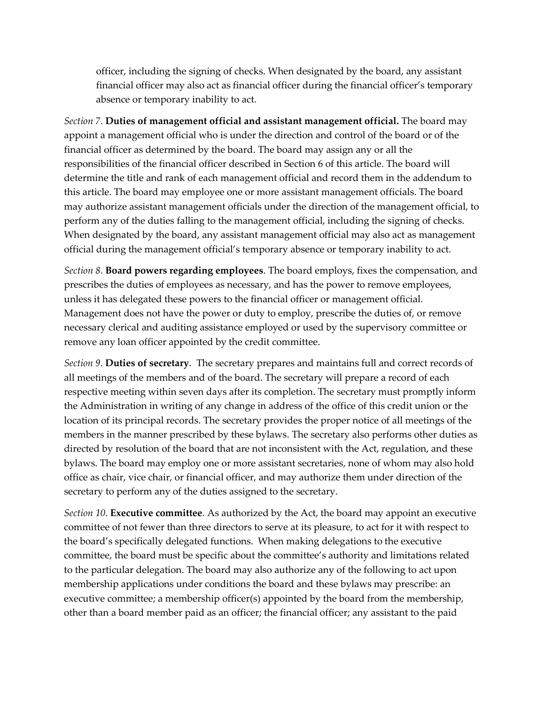officer, including the signing of checks. When designated by the board, any assistant financial officer may also act as financial officer during the financial officer's temporary absence or temporary inability to act.

*Section 7*. **Duties of management official and assistant management official.** The board may appoint a management official who is under the direction and control of the board or of the financial officer as determined by the board. The board may assign any or all the responsibilities of the financial officer described in Section 6 of this article. The board will determine the title and rank of each management official and record them in the addendum to this article. The board may employee one or more assistant management officials. The board may authorize assistant management officials under the direction of the management official, to perform any of the duties falling to the management official, including the signing of checks. When designated by the board, any assistant management official may also act as management official during the management official's temporary absence or temporary inability to act.

*Section 8*. **Board powers regarding employees**. The board employs, fixes the compensation, and prescribes the duties of employees as necessary, and has the power to remove employees, unless it has delegated these powers to the financial officer or management official. Management does not have the power or duty to employ, prescribe the duties of, or remove necessary clerical and auditing assistance employed or used by the supervisory committee or remove any loan officer appointed by the credit committee.

*Section 9*. **Duties of secretary**. The secretary prepares and maintains full and correct records of all meetings of the members and of the board. The secretary will prepare a record of each respective meeting within seven days after its completion. The secretary must promptly inform the Administration in writing of any change in address of the office of this credit union or the location of its principal records. The secretary provides the proper notice of all meetings of the members in the manner prescribed by these bylaws. The secretary also performs other duties as directed by resolution of the board that are not inconsistent with the Act, regulation, and these bylaws. The board may employ one or more assistant secretaries, none of whom may also hold office as chair, vice chair, or financial officer, and may authorize them under direction of the secretary to perform any of the duties assigned to the secretary.

*Section 10*. **Executive committee**. As authorized by the Act, the board may appoint an executive committee of not fewer than three directors to serve at its pleasure, to act for it with respect to the board's specifically delegated functions. When making delegations to the executive committee, the board must be specific about the committee's authority and limitations related to the particular delegation. The board may also authorize any of the following to act upon membership applications under conditions the board and these bylaws may prescribe: an executive committee; a membership officer(s) appointed by the board from the membership, other than a board member paid as an officer; the financial officer; any assistant to the paid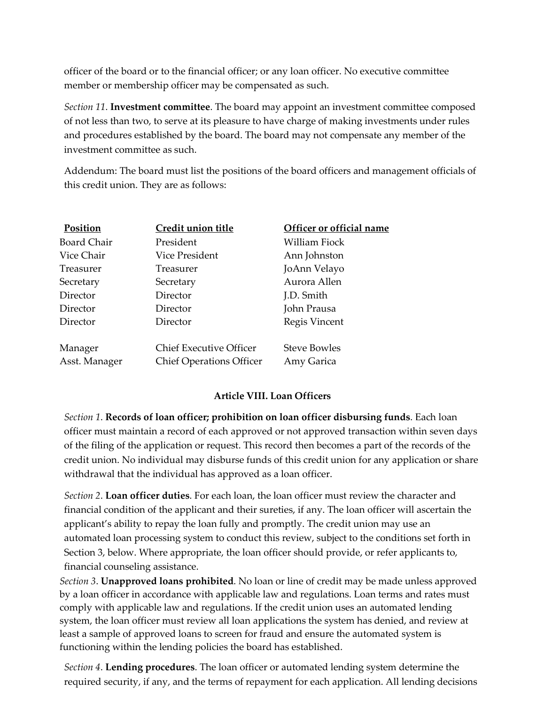officer of the board or to the financial officer; or any loan officer. No executive committee member or membership officer may be compensated as such.

*Section 11*. **Investment committee**. The board may appoint an investment committee composed of not less than two, to serve at its pleasure to have charge of making investments under rules and procedures established by the board. The board may not compensate any member of the investment committee as such.

Addendum: The board must list the positions of the board officers and management officials of this credit union. They are as follows:

| Position           | Credit union title              | Officer or official name |
|--------------------|---------------------------------|--------------------------|
| <b>Board Chair</b> | President                       | William Fiock            |
| Vice Chair         | Vice President                  | Ann Johnston             |
| Treasurer          | Treasurer                       | JoAnn Velayo             |
| Secretary          | Secretary                       | Aurora Allen             |
| Director           | Director                        | J.D. Smith               |
| Director           | Director                        | John Prausa              |
| Director           | Director                        | Regis Vincent            |
| Manager            | <b>Chief Executive Officer</b>  | <b>Steve Bowles</b>      |
| Asst. Manager      | <b>Chief Operations Officer</b> | Amy Garica               |

#### **Article VIII. Loan Officers**

*Section 1*. **Records of loan officer; prohibition on loan officer disbursing funds**. Each loan officer must maintain a record of each approved or not approved transaction within seven days of the filing of the application or request. This record then becomes a part of the records of the credit union. No individual may disburse funds of this credit union for any application or share withdrawal that the individual has approved as a loan officer.

*Section 2*. **Loan officer duties**. For each loan, the loan officer must review the character and financial condition of the applicant and their sureties, if any. The loan officer will ascertain the applicant's ability to repay the loan fully and promptly. The credit union may use an automated loan processing system to conduct this review, subject to the conditions set forth in Section 3, below. Where appropriate, the loan officer should provide, or refer applicants to, financial counseling assistance.

*Section 3*. **Unapproved loans prohibited**. No loan or line of credit may be made unless approved by a loan officer in accordance with applicable law and regulations. Loan terms and rates must comply with applicable law and regulations. If the credit union uses an automated lending system, the loan officer must review all loan applications the system has denied, and review at least a sample of approved loans to screen for fraud and ensure the automated system is functioning within the lending policies the board has established.

*Section 4*. **Lending procedures**. The loan officer or automated lending system determine the required security, if any, and the terms of repayment for each application. All lending decisions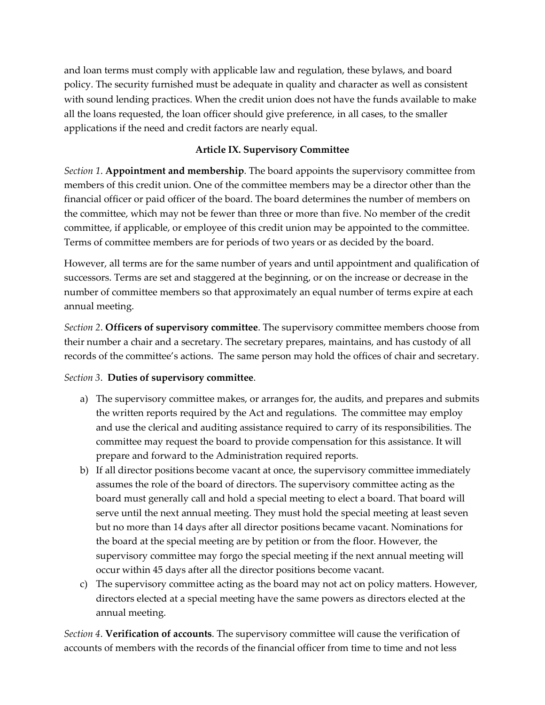and loan terms must comply with applicable law and regulation, these bylaws, and board policy. The security furnished must be adequate in quality and character as well as consistent with sound lending practices. When the credit union does not have the funds available to make all the loans requested, the loan officer should give preference, in all cases, to the smaller applications if the need and credit factors are nearly equal.

#### **Article IX. Supervisory Committee**

*Section 1*. **Appointment and membership**. The board appoints the supervisory committee from members of this credit union. One of the committee members may be a director other than the financial officer or paid officer of the board. The board determines the number of members on the committee, which may not be fewer than three or more than five. No member of the credit committee, if applicable, or employee of this credit union may be appointed to the committee. Terms of committee members are for periods of two years or as decided by the board.

However, all terms are for the same number of years and until appointment and qualification of successors. Terms are set and staggered at the beginning, or on the increase or decrease in the number of committee members so that approximately an equal number of terms expire at each annual meeting.

*Section 2*. **Officers of supervisory committee**. The supervisory committee members choose from their number a chair and a secretary. The secretary prepares, maintains, and has custody of all records of the committee's actions. The same person may hold the offices of chair and secretary.

#### *Section 3*. **Duties of supervisory committee**.

- a) The supervisory committee makes, or arranges for, the audits, and prepares and submits the written reports required by the Act and regulations. The committee may employ and use the clerical and auditing assistance required to carry of its responsibilities. The committee may request the board to provide compensation for this assistance. It will prepare and forward to the Administration required reports.
- b) If all director positions become vacant at once, the supervisory committee immediately assumes the role of the board of directors. The supervisory committee acting as the board must generally call and hold a special meeting to elect a board. That board will serve until the next annual meeting. They must hold the special meeting at least seven but no more than 14 days after all director positions became vacant. Nominations for the board at the special meeting are by petition or from the floor. However, the supervisory committee may forgo the special meeting if the next annual meeting will occur within 45 days after all the director positions become vacant.
- c) The supervisory committee acting as the board may not act on policy matters. However, directors elected at a special meeting have the same powers as directors elected at the annual meeting.

*Section 4*. **Verification of accounts**. The supervisory committee will cause the verification of accounts of members with the records of the financial officer from time to time and not less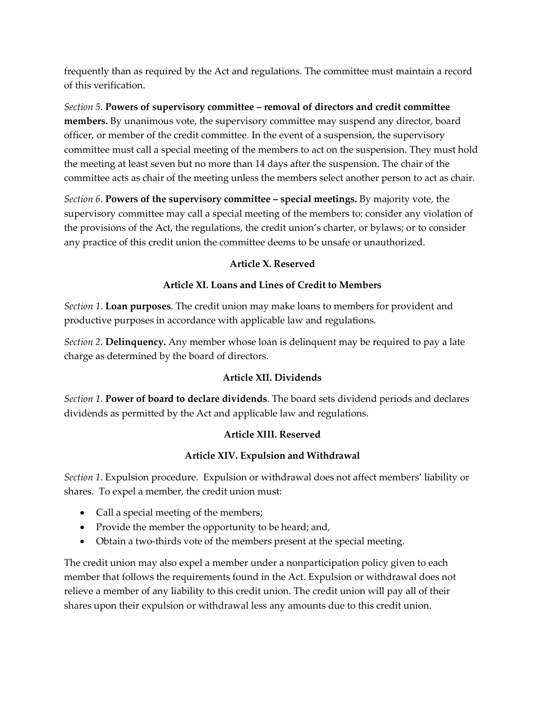frequently than as required by the Act and regulations. The committee must maintain a record of this verification.

*Section 5*. **Powers of supervisory committee – removal of directors and credit committee members.** By unanimous vote, the supervisory committee may suspend any director, board officer, or member of the credit committee. In the event of a suspension, the supervisory committee must call a special meeting of the members to act on the suspension. They must hold the meeting at least seven but no more than 14 days after the suspension. The chair of the committee acts as chair of the meeting unless the members select another person to act as chair.

*Section 6*. **Powers of the supervisory committee – special meetings.** By majority vote, the supervisory committee may call a special meeting of the members to: consider any violation of the provisions of the Act, the regulations, the credit union's charter, or bylaws; or to consider any practice of this credit union the committee deems to be unsafe or unauthorized.

## **Article X. Reserved**

## **Article XI. Loans and Lines of Credit to Members**

*Section 1*. **Loan purposes**. The credit union may make loans to members for provident and productive purposes in accordance with applicable law and regulations.

*Section 2*. **Delinquency.** Any member whose loan is delinquent may be required to pay a late charge as determined by the board of directors.

#### **Article XII. Dividends**

*Section 1.* **Power of board to declare dividends**. The board sets dividend periods and declares dividends as permitted by the Act and applicable law and regulations.

#### **Article XIII. Reserved**

#### **Article XIV. Expulsion and Withdrawal**

*Section 1*. Expulsion procedure. Expulsion or withdrawal does not affect members' liability or shares. To expel a member, the credit union must:

- Call a special meeting of the members;
- Provide the member the opportunity to be heard; and,
- Obtain a two-thirds vote of the members present at the special meeting.

The credit union may also expel a member under a nonparticipation policy given to each member that follows the requirements found in the Act. Expulsion or withdrawal does not relieve a member of any liability to this credit union. The credit union will pay all of their shares upon their expulsion or withdrawal less any amounts due to this credit union.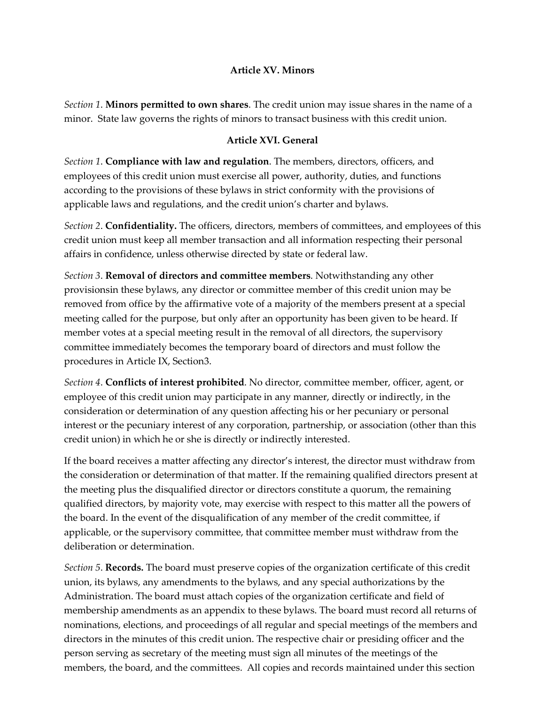#### **Article XV. Minors**

*Section 1*. **Minors permitted to own shares**. The credit union may issue shares in the name of a minor. State law governs the rights of minors to transact business with this credit union.

#### **Article XVI. General**

*Section 1*. **Compliance with law and regulation**. The members, directors, officers, and employees of this credit union must exercise all power, authority, duties, and functions according to the provisions of these bylaws in strict conformity with the provisions of applicable laws and regulations, and the credit union's charter and bylaws.

*Section 2*. **Confidentiality.** The officers, directors, members of committees, and employees of this credit union must keep all member transaction and all information respecting their personal affairs in confidence, unless otherwise directed by state or federal law.

*Section 3*. **Removal of directors and committee members**. Notwithstanding any other provisionsin these bylaws, any director or committee member of this credit union may be removed from office by the affirmative vote of a majority of the members present at a special meeting called for the purpose, but only after an opportunity has been given to be heard. If member votes at a special meeting result in the removal of all directors, the supervisory committee immediately becomes the temporary board of directors and must follow the procedures in Article IX, Section3.

*Section 4*. **Conflicts of interest prohibited**. No director, committee member, officer, agent, or employee of this credit union may participate in any manner, directly or indirectly, in the consideration or determination of any question affecting his or her pecuniary or personal interest or the pecuniary interest of any corporation, partnership, or association (other than this credit union) in which he or she is directly or indirectly interested.

If the board receives a matter affecting any director's interest, the director must withdraw from the consideration or determination of that matter. If the remaining qualified directors present at the meeting plus the disqualified director or directors constitute a quorum, the remaining qualified directors, by majority vote, may exercise with respect to this matter all the powers of the board. In the event of the disqualification of any member of the credit committee, if applicable, or the supervisory committee, that committee member must withdraw from the deliberation or determination.

*Section 5*. **Records.** The board must preserve copies of the organization certificate of this credit union, its bylaws, any amendments to the bylaws, and any special authorizations by the Administration. The board must attach copies of the organization certificate and field of membership amendments as an appendix to these bylaws. The board must record all returns of nominations, elections, and proceedings of all regular and special meetings of the members and directors in the minutes of this credit union. The respective chair or presiding officer and the person serving as secretary of the meeting must sign all minutes of the meetings of the members, the board, and the committees. All copies and records maintained under this section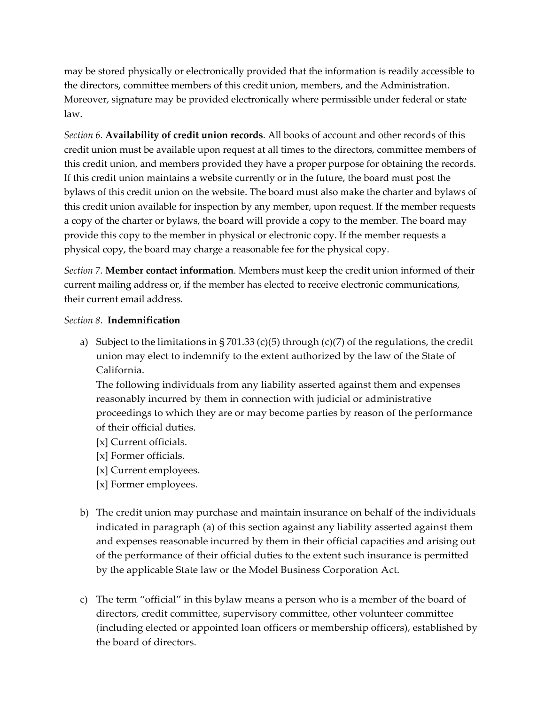may be stored physically or electronically provided that the information is readily accessible to the directors, committee members of this credit union, members, and the Administration. Moreover, signature may be provided electronically where permissible under federal or state law.

*Section 6.* **Availability of credit union records**. All books of account and other records of this credit union must be available upon request at all times to the directors, committee members of this credit union, and members provided they have a proper purpose for obtaining the records. If this credit union maintains a website currently or in the future, the board must post the bylaws of this credit union on the website. The board must also make the charter and bylaws of this credit union available for inspection by any member, upon request. If the member requests a copy of the charter or bylaws, the board will provide a copy to the member. The board may provide this copy to the member in physical or electronic copy. If the member requests a physical copy, the board may charge a reasonable fee for the physical copy.

*Section 7.* **Member contact information**. Members must keep the credit union informed of their current mailing address or, if the member has elected to receive electronic communications, their current email address.

#### *Section 8*. **Indemnification**

a) Subject to the limitations in § 701.33 (c)(5) through (c)(7) of the regulations, the credit union may elect to indemnify to the extent authorized by the law of the State of California.

The following individuals from any liability asserted against them and expenses reasonably incurred by them in connection with judicial or administrative proceedings to which they are or may become parties by reason of the performance of their official duties.

- [x] Current officials.
- [x] Former officials.
- [x] Current employees.
- [x] Former employees.
- b) The credit union may purchase and maintain insurance on behalf of the individuals indicated in paragraph (a) of this section against any liability asserted against them and expenses reasonable incurred by them in their official capacities and arising out of the performance of their official duties to the extent such insurance is permitted by the applicable State law or the Model Business Corporation Act.
- c) The term "official" in this bylaw means a person who is a member of the board of directors, credit committee, supervisory committee, other volunteer committee (including elected or appointed loan officers or membership officers), established by the board of directors.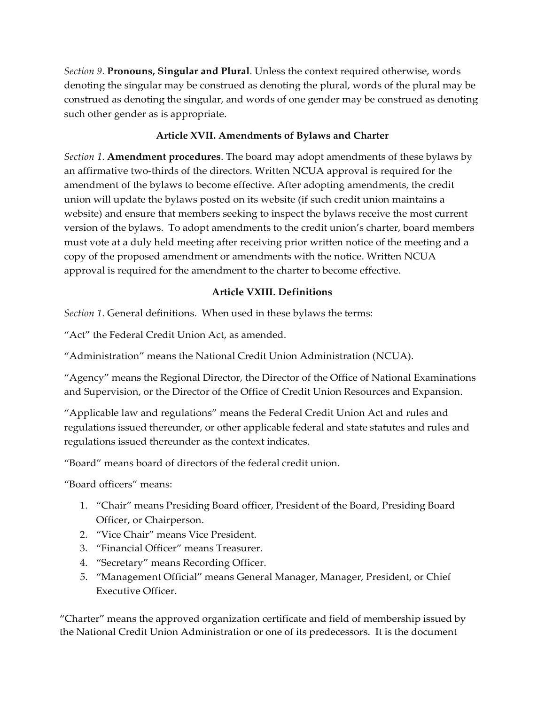*Section 9*. **Pronouns, Singular and Plural**. Unless the context required otherwise, words denoting the singular may be construed as denoting the plural, words of the plural may be construed as denoting the singular, and words of one gender may be construed as denoting such other gender as is appropriate.

## **Article XVII. Amendments of Bylaws and Charter**

*Section 1*. **Amendment procedures**. The board may adopt amendments of these bylaws by an affirmative two-thirds of the directors. Written NCUA approval is required for the amendment of the bylaws to become effective. After adopting amendments, the credit union will update the bylaws posted on its website (if such credit union maintains a website) and ensure that members seeking to inspect the bylaws receive the most current version of the bylaws. To adopt amendments to the credit union's charter, board members must vote at a duly held meeting after receiving prior written notice of the meeting and a copy of the proposed amendment or amendments with the notice. Written NCUA approval is required for the amendment to the charter to become effective.

## **Article VXIII. Definitions**

*Section 1*. General definitions. When used in these bylaws the terms:

"Act" the Federal Credit Union Act, as amended.

"Administration" means the National Credit Union Administration (NCUA).

"Agency" means the Regional Director, the Director of the Office of National Examinations and Supervision, or the Director of the Office of Credit Union Resources and Expansion.

"Applicable law and regulations" means the Federal Credit Union Act and rules and regulations issued thereunder, or other applicable federal and state statutes and rules and regulations issued thereunder as the context indicates.

"Board" means board of directors of the federal credit union.

"Board officers" means:

- 1. "Chair" means Presiding Board officer, President of the Board, Presiding Board Officer, or Chairperson.
- 2. "Vice Chair" means Vice President.
- 3. "Financial Officer" means Treasurer.
- 4. "Secretary" means Recording Officer.
- 5. "Management Official" means General Manager, Manager, President, or Chief Executive Officer.

"Charter" means the approved organization certificate and field of membership issued by the National Credit Union Administration or one of its predecessors. It is the document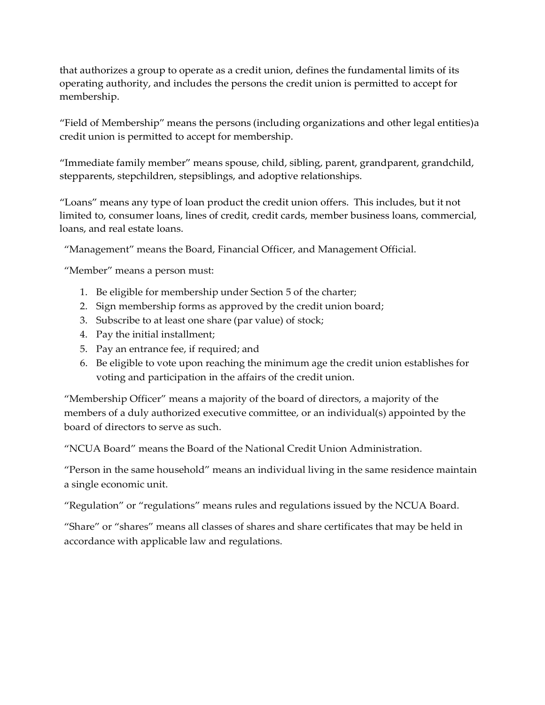that authorizes a group to operate as a credit union, defines the fundamental limits of its operating authority, and includes the persons the credit union is permitted to accept for membership.

"Field of Membership" means the persons (including organizations and other legal entities)a credit union is permitted to accept for membership.

"Immediate family member" means spouse, child, sibling, parent, grandparent, grandchild, stepparents, stepchildren, stepsiblings, and adoptive relationships.

"Loans" means any type of loan product the credit union offers. This includes, but it not limited to, consumer loans, lines of credit, credit cards, member business loans, commercial, loans, and real estate loans.

"Management" means the Board, Financial Officer, and Management Official.

"Member" means a person must:

- 1. Be eligible for membership under Section 5 of the charter;
- 2. Sign membership forms as approved by the credit union board;
- 3. Subscribe to at least one share (par value) of stock;
- 4. Pay the initial installment;
- 5. Pay an entrance fee, if required; and
- 6. Be eligible to vote upon reaching the minimum age the credit union establishes for voting and participation in the affairs of the credit union.

"Membership Officer" means a majority of the board of directors, a majority of the members of a duly authorized executive committee, or an individual(s) appointed by the board of directors to serve as such.

"NCUA Board" means the Board of the National Credit Union Administration.

"Person in the same household" means an individual living in the same residence maintain a single economic unit.

"Regulation" or "regulations" means rules and regulations issued by the NCUA Board.

"Share" or "shares" means all classes of shares and share certificates that may be held in accordance with applicable law and regulations.